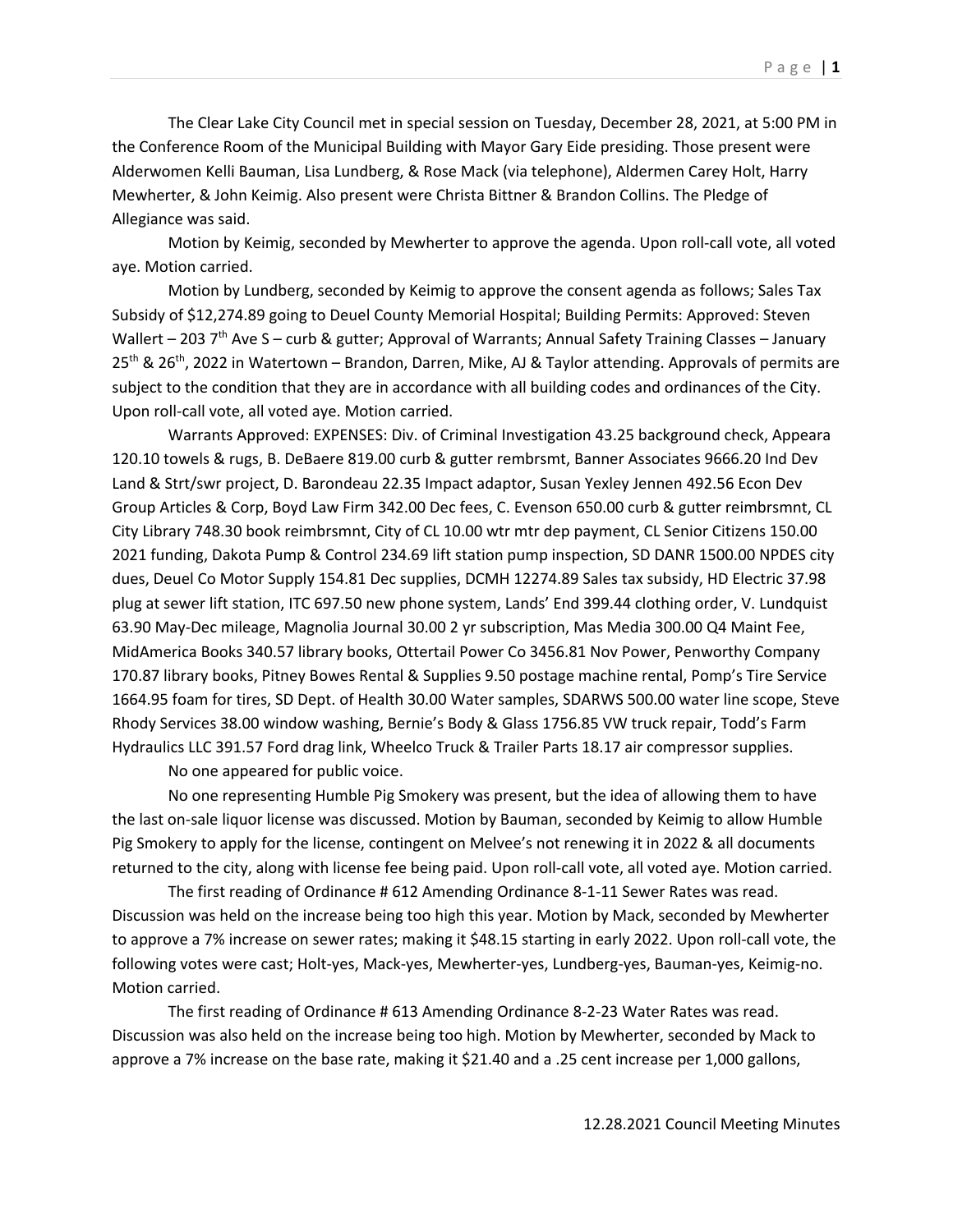The Clear Lake City Council met in special session on Tuesday, December 28, 2021, at 5:00 PM in the Conference Room of the Municipal Building with Mayor Gary Eide presiding. Those present were Alderwomen Kelli Bauman, Lisa Lundberg, & Rose Mack (via telephone), Aldermen Carey Holt, Harry Mewherter, & John Keimig. Also present were Christa Bittner & Brandon Collins. The Pledge of Allegiance was said.

Motion by Keimig, seconded by Mewherter to approve the agenda. Upon roll-call vote, all voted aye. Motion carried.

Motion by Lundberg, seconded by Keimig to approve the consent agenda as follows; Sales Tax Subsidy of \$12,274.89 going to Deuel County Memorial Hospital; Building Permits: Approved: Steven Wallert – 203  $7<sup>th</sup>$  Ave S – curb & gutter; Approval of Warrants; Annual Safety Training Classes – January 25<sup>th</sup> & 26<sup>th</sup>, 2022 in Watertown – Brandon, Darren, Mike, AJ & Taylor attending. Approvals of permits are subject to the condition that they are in accordance with all building codes and ordinances of the City. Upon roll-call vote, all voted aye. Motion carried.

Warrants Approved: EXPENSES: Div. of Criminal Investigation 43.25 background check, Appeara 120.10 towels & rugs, B. DeBaere 819.00 curb & gutter rembrsmt, Banner Associates 9666.20 Ind Dev Land & Strt/swr project, D. Barondeau 22.35 Impact adaptor, Susan Yexley Jennen 492.56 Econ Dev Group Articles & Corp, Boyd Law Firm 342.00 Dec fees, C. Evenson 650.00 curb & gutter reimbrsmnt, CL City Library 748.30 book reimbrsmnt, City of CL 10.00 wtr mtr dep payment, CL Senior Citizens 150.00 2021 funding, Dakota Pump & Control 234.69 lift station pump inspection, SD DANR 1500.00 NPDES city dues, Deuel Co Motor Supply 154.81 Dec supplies, DCMH 12274.89 Sales tax subsidy, HD Electric 37.98 plug at sewer lift station, ITC 697.50 new phone system, Lands' End 399.44 clothing order, V. Lundquist 63.90 May-Dec mileage, Magnolia Journal 30.00 2 yr subscription, Mas Media 300.00 Q4 Maint Fee, MidAmerica Books 340.57 library books, Ottertail Power Co 3456.81 Nov Power, Penworthy Company 170.87 library books, Pitney Bowes Rental & Supplies 9.50 postage machine rental, Pomp's Tire Service 1664.95 foam for tires, SD Dept. of Health 30.00 Water samples, SDARWS 500.00 water line scope, Steve Rhody Services 38.00 window washing, Bernie's Body & Glass 1756.85 VW truck repair, Todd's Farm Hydraulics LLC 391.57 Ford drag link, Wheelco Truck & Trailer Parts 18.17 air compressor supplies.

No one appeared for public voice.

No one representing Humble Pig Smokery was present, but the idea of allowing them to have the last on-sale liquor license was discussed. Motion by Bauman, seconded by Keimig to allow Humble Pig Smokery to apply for the license, contingent on Melvee's not renewing it in 2022 & all documents returned to the city, along with license fee being paid. Upon roll-call vote, all voted aye. Motion carried.

The first reading of Ordinance # 612 Amending Ordinance 8-1-11 Sewer Rates was read. Discussion was held on the increase being too high this year. Motion by Mack, seconded by Mewherter to approve a 7% increase on sewer rates; making it \$48.15 starting in early 2022. Upon roll-call vote, the following votes were cast; Holt-yes, Mack-yes, Mewherter-yes, Lundberg-yes, Bauman-yes, Keimig-no. Motion carried.

The first reading of Ordinance # 613 Amending Ordinance 8-2-23 Water Rates was read. Discussion was also held on the increase being too high. Motion by Mewherter, seconded by Mack to approve a 7% increase on the base rate, making it \$21.40 and a .25 cent increase per 1,000 gallons,